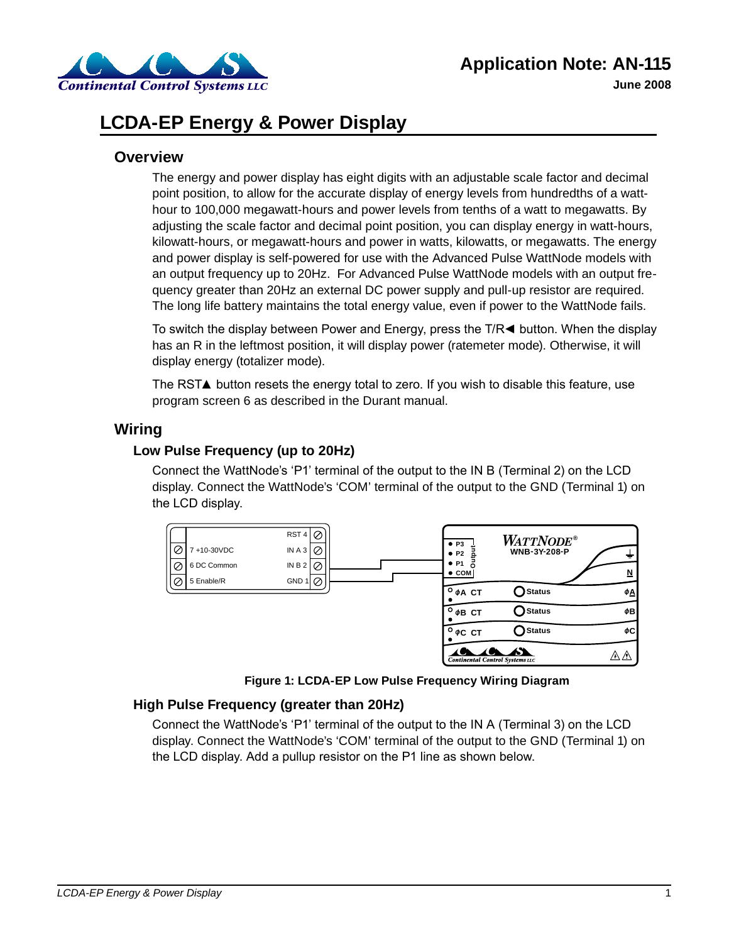

# **LCDA-EP Energy & Power Display**

### **Overview**

The energy and power display has eight digits with an adjustable scale factor and decimal point position, to allow for the accurate display of energy levels from hundredths of a watthour to 100,000 megawatt-hours and power levels from tenths of a watt to megawatts. By adjusting the scale factor and decimal point position, you can display energy in watt-hours, kilowatt-hours, or megawatt-hours and power in watts, kilowatts, or megawatts. The energy and power display is self-powered for use with the Advanced Pulse WattNode models with an output frequency up to 20Hz. For Advanced Pulse WattNode models with an output frequency greater than 20Hz an external DC power supply and pull-up resistor are required. The long life battery maintains the total energy value, even if power to the WattNode fails.

To switch the display between Power and Energy, press the T/R $\blacktriangleleft$  button. When the display has an R in the leftmost position, it will display power (ratemeter mode). Otherwise, it will display energy (totalizer mode).

The RST▲ button resets the energy total to zero. If you wish to disable this feature, use program screen 6 as described in the Durant manual.

## **Wiring**

#### **Low Pulse Frequency (up to 20Hz)**

Connect the WattNode's 'P1' terminal of the output to the IN B (Terminal 2) on the LCD display. Connect the WattNode's 'COM' terminal of the output to the GND (Terminal 1) on the LCD display.



**Figure 1: LCDA-EP Low Pulse Frequency Wiring Diagram**

#### **High Pulse Frequency (greater than 20Hz)**

Connect the WattNode's 'P1' terminal of the output to the IN A (Terminal 3) on the LCD display. Connect the WattNode's 'COM' terminal of the output to the GND (Terminal 1) on the LCD display. Add a pullup resistor on the P1 line as shown below.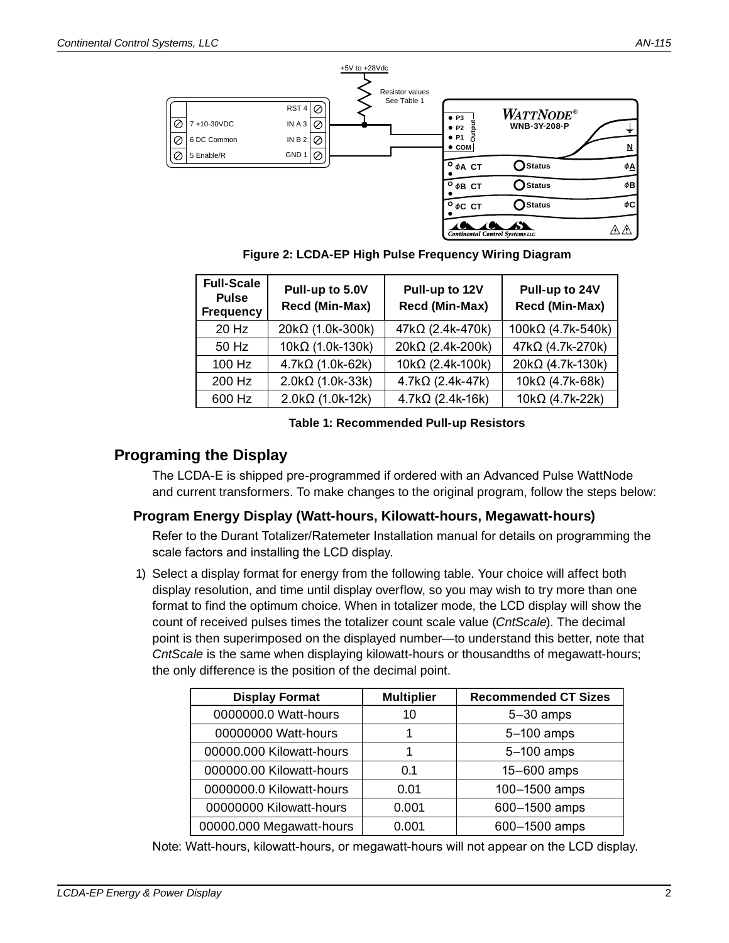

**Figure 2: LCDA-EP High Pulse Frequency Wiring Diagram**

| <b>Full-Scale</b><br><b>Pulse</b><br><b>Frequency</b> | Pull-up to 5.0V<br>Recd (Min-Max) | Pull-up to 12V<br>Recd (Min-Max) | Pull-up to 24V<br>Recd (Min-Max) |
|-------------------------------------------------------|-----------------------------------|----------------------------------|----------------------------------|
| 20 Hz                                                 | 20kΩ (1.0k-300k)                  | 47kΩ (2.4k-470k)                 | $100k\Omega$ (4.7k-540k)         |
| $50$ Hz                                               | $10k\Omega$ (1.0k-130k)           | 20kΩ (2.4k-200k)                 | 47kΩ (4.7k-270k)                 |
| 100 Hz                                                | $4.7k\Omega$ (1.0k-62k)           | 10kΩ (2.4k-100k)                 | $20k\Omega$ (4.7k-130k)          |
| 200 Hz                                                | $2.0k\Omega$ (1.0k-33k)           | $4.7k\Omega$ (2.4k-47k)          | $10k\Omega$ (4.7k-68k)           |
| 600 Hz                                                | $2.0k\Omega$ (1.0k-12k)           | $4.7k\Omega$ (2.4k-16k)          | $10k\Omega$ (4.7k-22k)           |

#### **Table 1: Recommended Pull-up Resistors**

# **Programing the Display**

The LCDA-E is shipped pre-programmed if ordered with an Advanced Pulse WattNode and current transformers. To make changes to the original program, follow the steps below:

#### **Program Energy Display (Watt-hours, Kilowatt-hours, Megawatt-hours)**

Refer to the Durant Totalizer/Ratemeter Installation manual for details on programming the scale factors and installing the LCD display.

1) Select a display format for energy from the following table. Your choice will affect both display resolution, and time until display overflow, so you may wish to try more than one format to find the optimum choice. When in totalizer mode, the LCD display will show the count of received pulses times the totalizer count scale value (*CntScale*). The decimal point is then superimposed on the displayed number—to understand this better, note that *CntScale* is the same when displaying kilowatt-hours or thousandths of megawatt-hours; the only difference is the position of the decimal point.

| <b>Display Format</b>    | <b>Multiplier</b> | <b>Recommended CT Sizes</b> |  |
|--------------------------|-------------------|-----------------------------|--|
| 0000000.0 Watt-hours     | 10                | $5-30$ amps                 |  |
| 00000000 Watt-hours      |                   | 5-100 amps                  |  |
| 00000.000 Kilowatt-hours |                   | 5-100 amps                  |  |
| 000000.00 Kilowatt-hours | 0.1               | 15-600 amps                 |  |
| 0000000.0 Kilowatt-hours | 0.01              | 100-1500 amps               |  |
| 00000000 Kilowatt-hours  | 0.001             | 600-1500 amps               |  |
| 00000.000 Megawatt-hours | 0.001             | 600-1500 amps               |  |

Note: Watt-hours, kilowatt-hours, or megawatt-hours will not appear on the LCD display.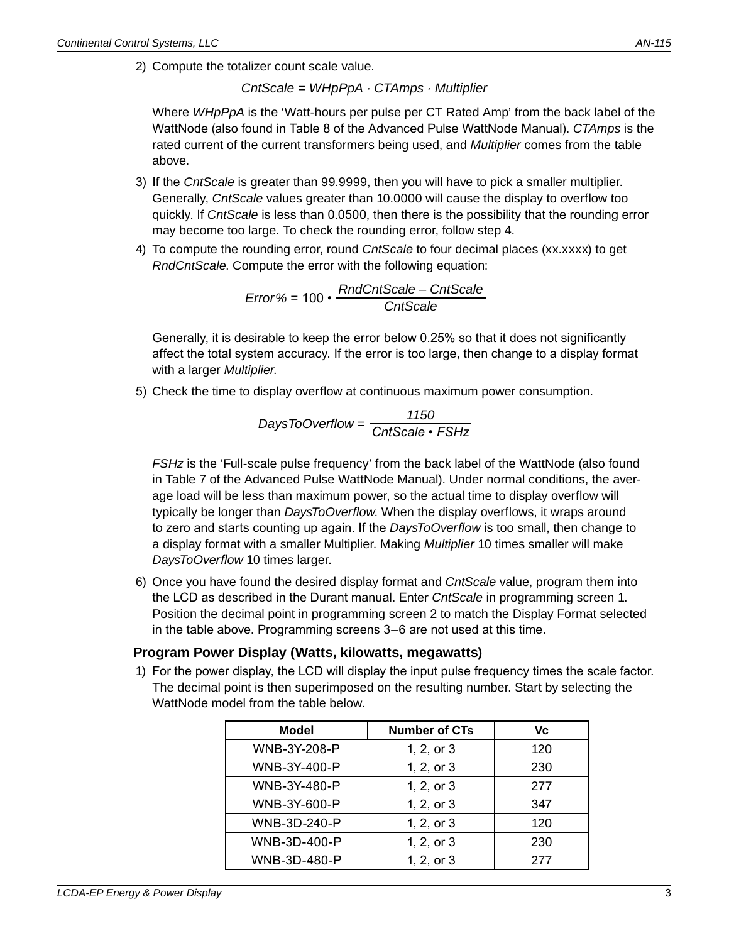2) Compute the totalizer count scale value.

*CntScale = WHpPpA · CTAmps · Multiplier*

Where *WHpPpA* is the 'Watt-hours per pulse per CT Rated Amp' from the back label of the WattNode (also found in Table 8 of the Advanced Pulse WattNode Manual). *CTAmps* is the rated current of the current transformers being used, and *Multiplier* comes from the table above.

- 3) If the CntScale is greater than 99.9999, then you will have to pick a smaller multiplier. Generally, *CntScale* values greater than 10.0000 will cause the display to overflow too quickly. If *CntScale* is less than 0.0500, then there is the possibility that the rounding error may become too large. To check the rounding error, follow step 4.
- 4) To compute the rounding error, round *CntScale* to four decimal places (xx.xxxx) to get *RndCntScale*. Compute the error with the following equation:

*Error%* = 100 • *RndCntScale – CntScale CntScale*

Generally, it is desirable to keep the error below 0.25% so that it does not significantly affect the total system accuracy. If the error is too large, then change to a display format with a larger *Multiplier*.

5) Check the time to display overflow at continuous maximum power consumption.

$$
DaysToOverflow = \frac{1150}{CrtScale \cdot FSHz}
$$

*FSHz* is the 'Full-scale pulse frequency' from the back label of the WattNode (also found in Table 7 of the Advanced Pulse WattNode Manual). Under normal conditions, the average load will be less than maximum power, so the actual time to display overflow will typically be longer than *DaysToOverflow*. When the display overflows, it wraps around to zero and starts counting up again. If the *DaysToOverflow* is too small, then change to a display format with a smaller Multiplier. Making *Multiplier* 10 times smaller will make *DaysToOverflow* 10 times larger.

6) Once you have found the desired display format and *CntScale* value, program them into the LCD as described in the Durant manual. Enter *CntScale* in programming screen 1. Position the decimal point in programming screen 2 to match the Display Format selected in the table above. Programming screens 3–6 are not used at this time.

#### **Program Power Display (Watts, kilowatts, megawatts)**

1) For the power display, the LCD will display the input pulse frequency times the scale factor. The decimal point is then superimposed on the resulting number. Start by selecting the WattNode model from the table below.

| Model               | <b>Number of CTs</b> | Vc  |
|---------------------|----------------------|-----|
| <b>WNB-3Y-208-P</b> | 1, 2, or 3           | 120 |
| WNB-3Y-400-P        | 1, 2, or 3           | 230 |
| WNB-3Y-480-P        | 1, 2, or 3           | 277 |
| WNB-3Y-600-P        | 1, 2, or 3           | 347 |
| WNB-3D-240-P        | 1, 2, or 3           | 120 |
| WNB-3D-400-P        | 1, 2, or 3           | 230 |
| WNB-3D-480-P        | 1, 2, or 3           | 277 |